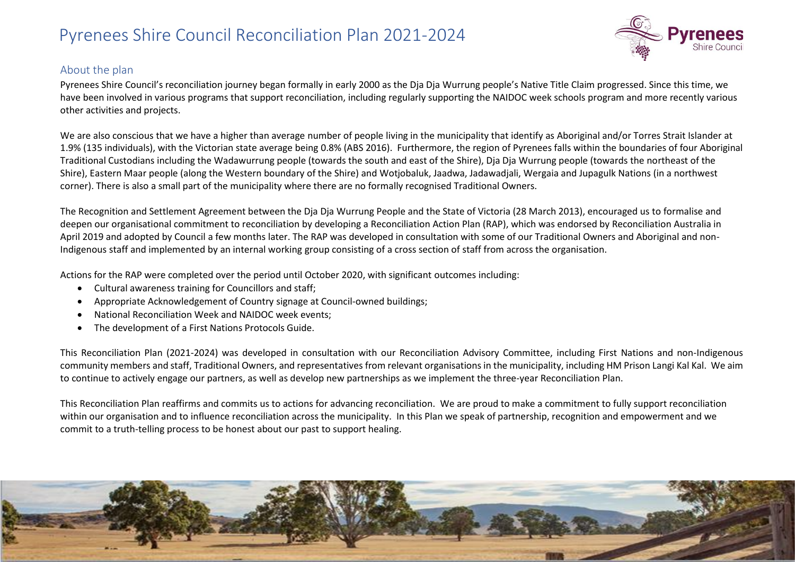

#### About the plan

Pyrenees Shire Council's reconciliation journey began formally in early 2000 as the Dja Dja Wurrung people's Native Title Claim progressed. Since this time, we have been involved in various programs that support reconciliation, including regularly supporting the NAIDOC week schools program and more recently various other activities and projects.

We are also conscious that we have a higher than average number of people living in the municipality that identify as Aboriginal and/or Torres Strait Islander at 1.9% (135 individuals), with the Victorian state average being 0.8% (ABS 2016). Furthermore, the region of Pyrenees falls within the boundaries of four Aboriginal Traditional Custodians including the Wadawurrung people (towards the south and east of the Shire), Dja Dja Wurrung people (towards the northeast of the Shire), Eastern Maar people (along the Western boundary of the Shire) and Wotjobaluk, Jaadwa, Jadawadjali, Wergaia and Jupagulk Nations (in a northwest corner). There is also a small part of the municipality where there are no formally recognised Traditional Owners.

The Recognition and Settlement Agreement between the Dja Dja Wurrung People and the State of Victoria (28 March 2013), encouraged us to formalise and deepen our organisational commitment to reconciliation by developing a Reconciliation Action Plan (RAP), which was endorsed by Reconciliation Australia in April 2019 and adopted by Council a few months later. The RAP was developed in consultation with some of our Traditional Owners and Aboriginal and non-Indigenous staff and implemented by an internal working group consisting of a cross section of staff from across the organisation.

Actions for the RAP were completed over the period until October 2020, with significant outcomes including:

- Cultural awareness training for Councillors and staff;
- Appropriate Acknowledgement of Country signage at Council-owned buildings;
- National Reconciliation Week and NAIDOC week events;
- The development of a First Nations Protocols Guide.

This Reconciliation Plan (2021-2024) was developed in consultation with our Reconciliation Advisory Committee, including First Nations and non-Indigenous community members and staff, Traditional Owners, and representatives from relevant organisations in the municipality, including HM Prison Langi Kal Kal. We aim to continue to actively engage our partners, as well as develop new partnerships as we implement the three-year Reconciliation Plan.

This Reconciliation Plan reaffirms and commits us to actions for advancing reconciliation. We are proud to make a commitment to fully support reconciliation within our organisation and to influence reconciliation across the municipality. In this Plan we speak of partnership, recognition and empowerment and we commit to a truth-telling process to be honest about our past to support healing.

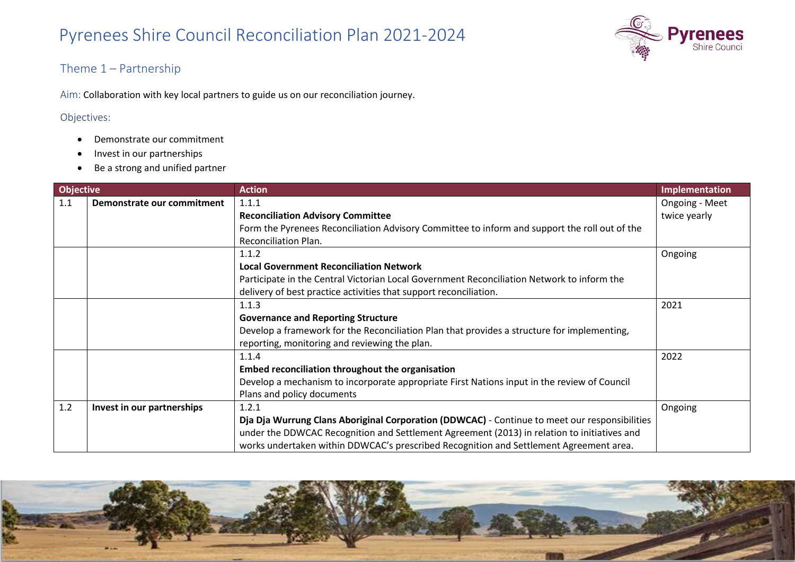

#### Theme 1 – Partnership

Aim: Collaboration with key local partners to guide us on our reconciliation journey.

#### Objectives:

- Demonstrate our commitment
- Invest in our partnerships
- Be a strong and unified partner

| <b>Objective</b> |                            | <b>Action</b>                                                                                 | Implementation |
|------------------|----------------------------|-----------------------------------------------------------------------------------------------|----------------|
| 1.1              | Demonstrate our commitment | 1.1.1                                                                                         | Ongoing - Meet |
|                  |                            | <b>Reconciliation Advisory Committee</b>                                                      | twice yearly   |
|                  |                            | Form the Pyrenees Reconciliation Advisory Committee to inform and support the roll out of the |                |
|                  |                            | Reconciliation Plan.                                                                          |                |
|                  |                            | 1.1.2                                                                                         | Ongoing        |
|                  |                            | <b>Local Government Reconciliation Network</b>                                                |                |
|                  |                            | Participate in the Central Victorian Local Government Reconciliation Network to inform the    |                |
|                  |                            | delivery of best practice activities that support reconciliation.                             |                |
|                  |                            | 1.1.3                                                                                         | 2021           |
|                  |                            | <b>Governance and Reporting Structure</b>                                                     |                |
|                  |                            | Develop a framework for the Reconciliation Plan that provides a structure for implementing,   |                |
|                  |                            | reporting, monitoring and reviewing the plan.                                                 |                |
|                  |                            | 1.1.4                                                                                         | 2022           |
|                  |                            | Embed reconciliation throughout the organisation                                              |                |
|                  |                            | Develop a mechanism to incorporate appropriate First Nations input in the review of Council   |                |
|                  |                            | Plans and policy documents                                                                    |                |
| 1.2              | Invest in our partnerships | 1.2.1                                                                                         | Ongoing        |
|                  |                            | Dja Dja Wurrung Clans Aboriginal Corporation (DDWCAC) - Continue to meet our responsibilities |                |
|                  |                            | under the DDWCAC Recognition and Settlement Agreement (2013) in relation to initiatives and   |                |
|                  |                            | works undertaken within DDWCAC's prescribed Recognition and Settlement Agreement area.        |                |

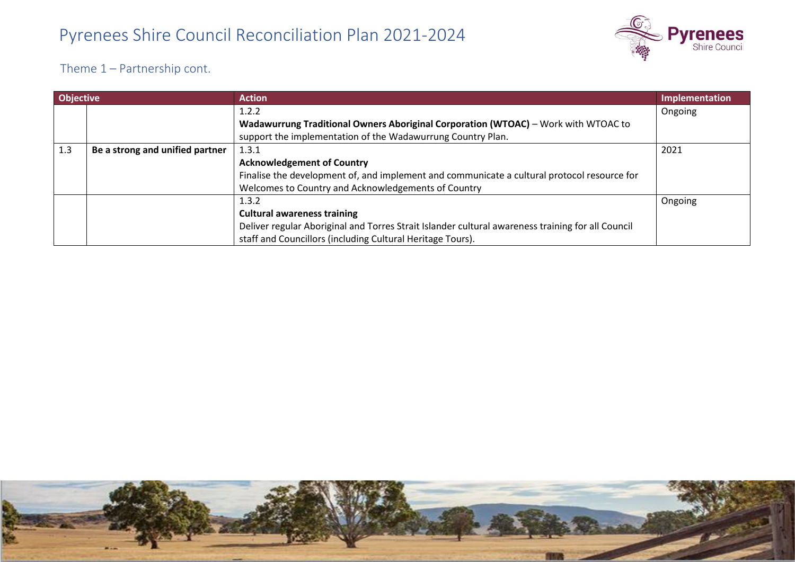

Theme 1 – Partnership cont.

| <b>Objective</b> |                                 | <b>Action</b>                                                                                     | Implementation |
|------------------|---------------------------------|---------------------------------------------------------------------------------------------------|----------------|
|                  |                                 | 1.2.2                                                                                             | Ongoing        |
|                  |                                 | Wadawurrung Traditional Owners Aboriginal Corporation (WTOAC) - Work with WTOAC to                |                |
|                  |                                 | support the implementation of the Wadawurrung Country Plan.                                       |                |
| 1.3              | Be a strong and unified partner | 1.3.1                                                                                             | 2021           |
|                  |                                 | <b>Acknowledgement of Country</b>                                                                 |                |
|                  |                                 | Finalise the development of, and implement and communicate a cultural protocol resource for       |                |
|                  |                                 | Welcomes to Country and Acknowledgements of Country                                               |                |
|                  |                                 | 1.3.2                                                                                             | Ongoing        |
|                  |                                 | <b>Cultural awareness training</b>                                                                |                |
|                  |                                 | Deliver regular Aboriginal and Torres Strait Islander cultural awareness training for all Council |                |
|                  |                                 | staff and Councillors (including Cultural Heritage Tours).                                        |                |

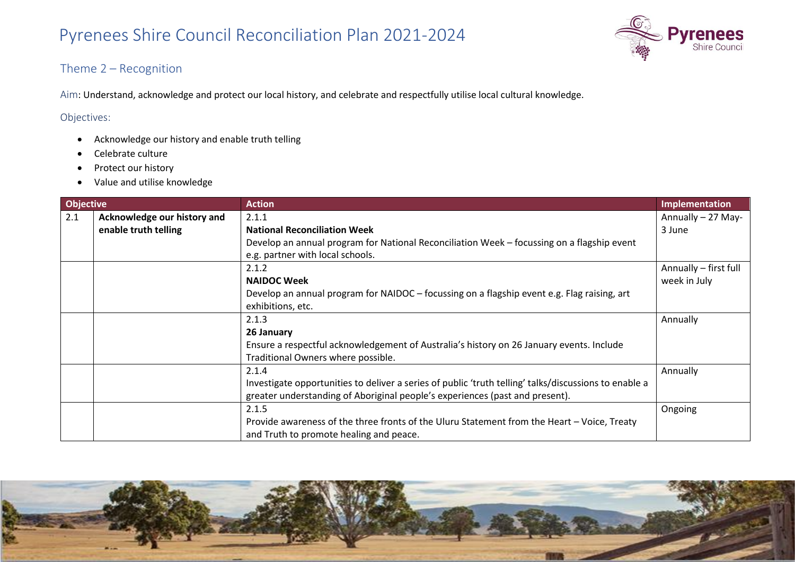

#### Theme 2 – Recognition

Aim: Understand, acknowledge and protect our local history, and celebrate and respectfully utilise local cultural knowledge.

#### Objectives:

- Acknowledge our history and enable truth telling
- Celebrate culture
- Protect our history
- Value and utilise knowledge

| <b>Objective</b> |                             | <b>Action</b>                                                                                         | <b>Implementation</b> |
|------------------|-----------------------------|-------------------------------------------------------------------------------------------------------|-----------------------|
| 2.1              | Acknowledge our history and | 2.1.1                                                                                                 | Annually - 27 May-    |
|                  | enable truth telling        | <b>National Reconciliation Week</b>                                                                   | 3 June                |
|                  |                             | Develop an annual program for National Reconciliation Week - focussing on a flagship event            |                       |
|                  |                             | e.g. partner with local schools.                                                                      |                       |
|                  |                             | 2.1.2                                                                                                 | Annually - first full |
|                  |                             | <b>NAIDOC Week</b>                                                                                    | week in July          |
|                  |                             | Develop an annual program for NAIDOC – focussing on a flagship event e.g. Flag raising, art           |                       |
|                  |                             | exhibitions, etc.                                                                                     |                       |
|                  |                             | 2.1.3                                                                                                 | Annually              |
|                  |                             | 26 January                                                                                            |                       |
|                  |                             | Ensure a respectful acknowledgement of Australia's history on 26 January events. Include              |                       |
|                  |                             | Traditional Owners where possible.                                                                    |                       |
|                  |                             | 2.1.4                                                                                                 | Annually              |
|                  |                             | Investigate opportunities to deliver a series of public 'truth telling' talks/discussions to enable a |                       |
|                  |                             | greater understanding of Aboriginal people's experiences (past and present).                          |                       |
|                  |                             | 2.1.5                                                                                                 | Ongoing               |
|                  |                             | Provide awareness of the three fronts of the Uluru Statement from the Heart - Voice, Treaty           |                       |
|                  |                             | and Truth to promote healing and peace.                                                               |                       |

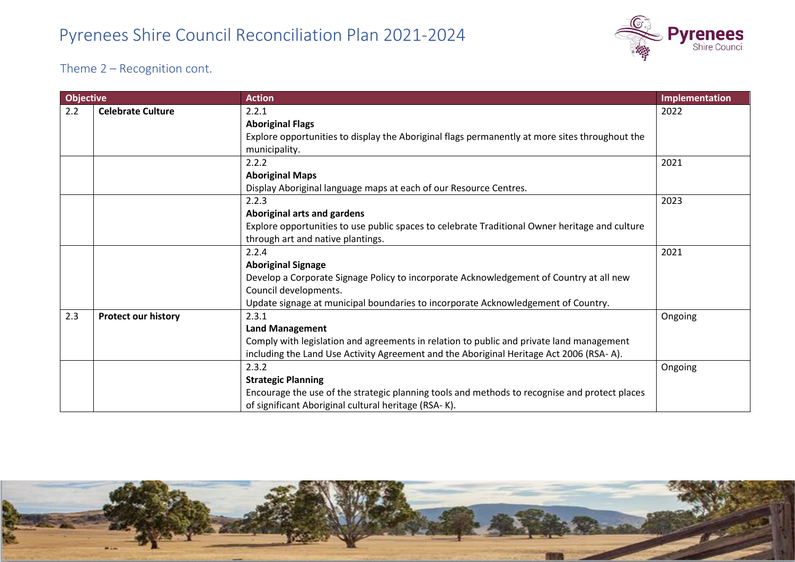

Theme 2 – Recognition cont.

| <b>Objective</b> |                            | <b>Action</b>                                                                                  | Implementation |
|------------------|----------------------------|------------------------------------------------------------------------------------------------|----------------|
| 2.2              | <b>Celebrate Culture</b>   | 2.2.1                                                                                          | 2022           |
|                  |                            | <b>Aboriginal Flags</b>                                                                        |                |
|                  |                            | Explore opportunities to display the Aboriginal flags permanently at more sites throughout the |                |
|                  |                            | municipality.                                                                                  |                |
|                  |                            | 2.2.2                                                                                          | 2021           |
|                  |                            | <b>Aboriginal Maps</b>                                                                         |                |
|                  |                            | Display Aboriginal language maps at each of our Resource Centres.                              |                |
|                  |                            | 2.2.3                                                                                          | 2023           |
|                  |                            | Aboriginal arts and gardens                                                                    |                |
|                  |                            | Explore opportunities to use public spaces to celebrate Traditional Owner heritage and culture |                |
|                  |                            | through art and native plantings.                                                              |                |
|                  |                            | 2.2.4                                                                                          | 2021           |
|                  |                            | <b>Aboriginal Signage</b>                                                                      |                |
|                  |                            | Develop a Corporate Signage Policy to incorporate Acknowledgement of Country at all new        |                |
|                  |                            | Council developments.                                                                          |                |
|                  |                            | Update signage at municipal boundaries to incorporate Acknowledgement of Country.              |                |
| 2.3              | <b>Protect our history</b> | 2.3.1                                                                                          | Ongoing        |
|                  |                            | <b>Land Management</b>                                                                         |                |
|                  |                            | Comply with legislation and agreements in relation to public and private land management       |                |
|                  |                            | including the Land Use Activity Agreement and the Aboriginal Heritage Act 2006 (RSA-A).        |                |
|                  |                            | 2.3.2                                                                                          | Ongoing        |
|                  |                            | <b>Strategic Planning</b>                                                                      |                |
|                  |                            | Encourage the use of the strategic planning tools and methods to recognise and protect places  |                |
|                  |                            | of significant Aboriginal cultural heritage (RSA-K).                                           |                |

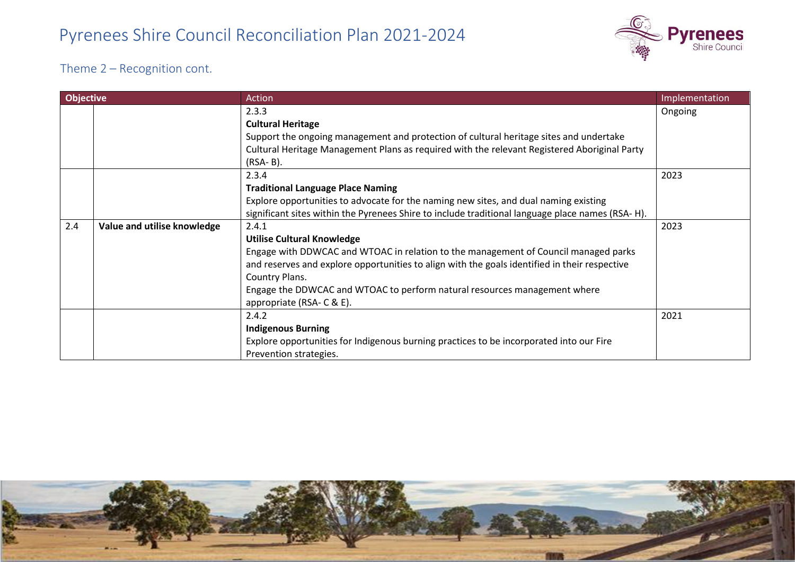

Theme 2 – Recognition cont.

| <b>Objective</b> |                             | Action                                                                                           | Implementation |
|------------------|-----------------------------|--------------------------------------------------------------------------------------------------|----------------|
|                  |                             | 2.3.3                                                                                            | Ongoing        |
|                  |                             | <b>Cultural Heritage</b>                                                                         |                |
|                  |                             | Support the ongoing management and protection of cultural heritage sites and undertake           |                |
|                  |                             | Cultural Heritage Management Plans as required with the relevant Registered Aboriginal Party     |                |
|                  |                             | $(RSA-B)$ .                                                                                      |                |
|                  |                             | 2.3.4                                                                                            | 2023           |
|                  |                             | <b>Traditional Language Place Naming</b>                                                         |                |
|                  |                             | Explore opportunities to advocate for the naming new sites, and dual naming existing             |                |
|                  |                             | significant sites within the Pyrenees Shire to include traditional language place names (RSA-H). |                |
| 2.4              | Value and utilise knowledge | 2.4.1                                                                                            | 2023           |
|                  |                             | <b>Utilise Cultural Knowledge</b>                                                                |                |
|                  |                             | Engage with DDWCAC and WTOAC in relation to the management of Council managed parks              |                |
|                  |                             | and reserves and explore opportunities to align with the goals identified in their respective    |                |
|                  |                             | Country Plans.                                                                                   |                |
|                  |                             | Engage the DDWCAC and WTOAC to perform natural resources management where                        |                |
|                  |                             | appropriate (RSA- C & E).                                                                        |                |
|                  |                             | 2.4.2                                                                                            | 2021           |
|                  |                             | <b>Indigenous Burning</b>                                                                        |                |
|                  |                             | Explore opportunities for Indigenous burning practices to be incorporated into our Fire          |                |
|                  |                             | Prevention strategies.                                                                           |                |

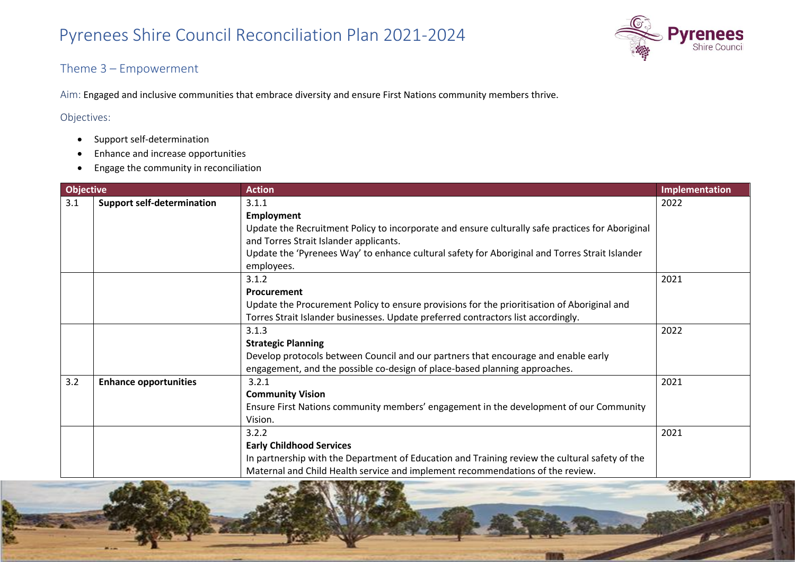

#### Theme 3 – Empowerment

Aim: Engaged and inclusive communities that embrace diversity and ensure First Nations community members thrive.

#### Objectives:

- Support self-determination
- Enhance and increase opportunities
- Engage the community in reconciliation

| <b>Objective</b> |                                   | <b>Action</b>                                                                                                                                                                                                                                                                            | Implementation |
|------------------|-----------------------------------|------------------------------------------------------------------------------------------------------------------------------------------------------------------------------------------------------------------------------------------------------------------------------------------|----------------|
| 3.1              | <b>Support self-determination</b> | 3.1.1<br><b>Employment</b><br>Update the Recruitment Policy to incorporate and ensure culturally safe practices for Aboriginal<br>and Torres Strait Islander applicants.<br>Update the 'Pyrenees Way' to enhance cultural safety for Aboriginal and Torres Strait Islander<br>employees. | 2022           |
|                  |                                   | 3.1.2<br>Procurement<br>Update the Procurement Policy to ensure provisions for the prioritisation of Aboriginal and<br>Torres Strait Islander businesses. Update preferred contractors list accordingly.                                                                                 | 2021           |
|                  |                                   | 3.1.3<br><b>Strategic Planning</b><br>Develop protocols between Council and our partners that encourage and enable early<br>engagement, and the possible co-design of place-based planning approaches.                                                                                   | 2022           |
| 3.2              | <b>Enhance opportunities</b>      | 3.2.1<br><b>Community Vision</b><br>Ensure First Nations community members' engagement in the development of our Community<br>Vision.                                                                                                                                                    | 2021           |
|                  |                                   | 3.2.2<br><b>Early Childhood Services</b><br>In partnership with the Department of Education and Training review the cultural safety of the<br>Maternal and Child Health service and implement recommendations of the review.                                                             | 2021           |